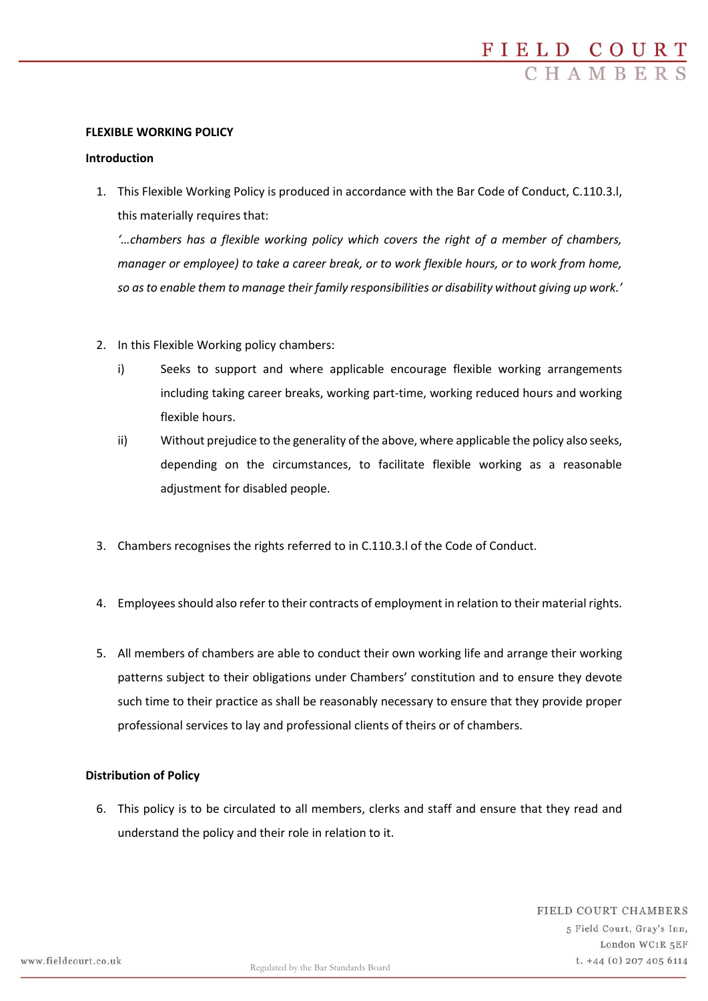## **FLEXIBLE WORKING POLICY**

#### **Introduction**

1. This Flexible Working Policy is produced in accordance with the Bar Code of Conduct, C.110.3.l, this materially requires that:

*'…chambers has a flexible working policy which covers the right of a member of chambers, manager or employee) to take a career break, or to work flexible hours, or to work from home, so as to enable them to manage their family responsibilities or disability without giving up work.'*

- 2. In this Flexible Working policy chambers:
	- i) Seeks to support and where applicable encourage flexible working arrangements including taking career breaks, working part-time, working reduced hours and working flexible hours.
	- ii) Without prejudice to the generality of the above, where applicable the policy also seeks, depending on the circumstances, to facilitate flexible working as a reasonable adjustment for disabled people.
- 3. Chambers recognises the rights referred to in C.110.3.l of the Code of Conduct.
- 4. Employees should also refer to their contracts of employment in relation to their material rights.
- 5. All members of chambers are able to conduct their own working life and arrange their working patterns subject to their obligations under Chambers' constitution and to ensure they devote such time to their practice as shall be reasonably necessary to ensure that they provide proper professional services to lay and professional clients of theirs or of chambers.

# **Distribution of Policy**

6. This policy is to be circulated to all members, clerks and staff and ensure that they read and understand the policy and their role in relation to it.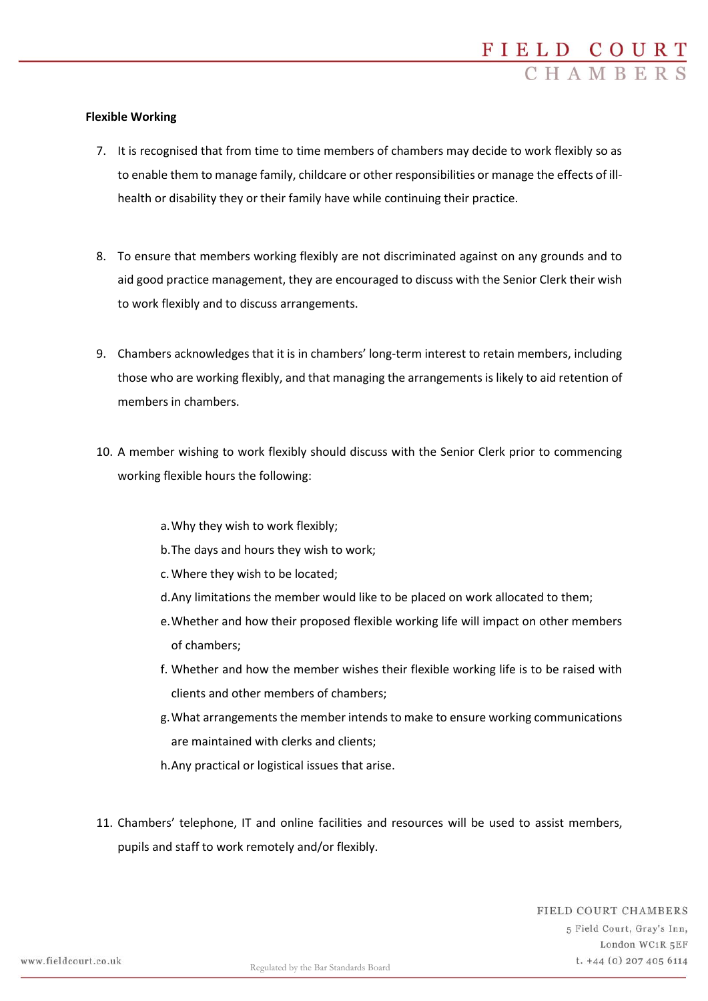## **Flexible Working**

- 7. It is recognised that from time to time members of chambers may decide to work flexibly so as to enable them to manage family, childcare or other responsibilities or manage the effects of illhealth or disability they or their family have while continuing their practice.
- 8. To ensure that members working flexibly are not discriminated against on any grounds and to aid good practice management, they are encouraged to discuss with the Senior Clerk their wish to work flexibly and to discuss arrangements.
- 9. Chambers acknowledges that it is in chambers' long-term interest to retain members, including those who are working flexibly, and that managing the arrangements is likely to aid retention of members in chambers.
- 10. A member wishing to work flexibly should discuss with the Senior Clerk prior to commencing working flexible hours the following:
	- a.Why they wish to work flexibly;
	- b.The days and hours they wish to work;
	- c.Where they wish to be located;
	- d.Any limitations the member would like to be placed on work allocated to them;
	- e.Whether and how their proposed flexible working life will impact on other members of chambers;
	- f. Whether and how the member wishes their flexible working life is to be raised with clients and other members of chambers;
	- g.What arrangements the member intends to make to ensure working communications are maintained with clerks and clients;
	- h.Any practical or logistical issues that arise.
- 11. Chambers' telephone, IT and online facilities and resources will be used to assist members, pupils and staff to work remotely and/or flexibly.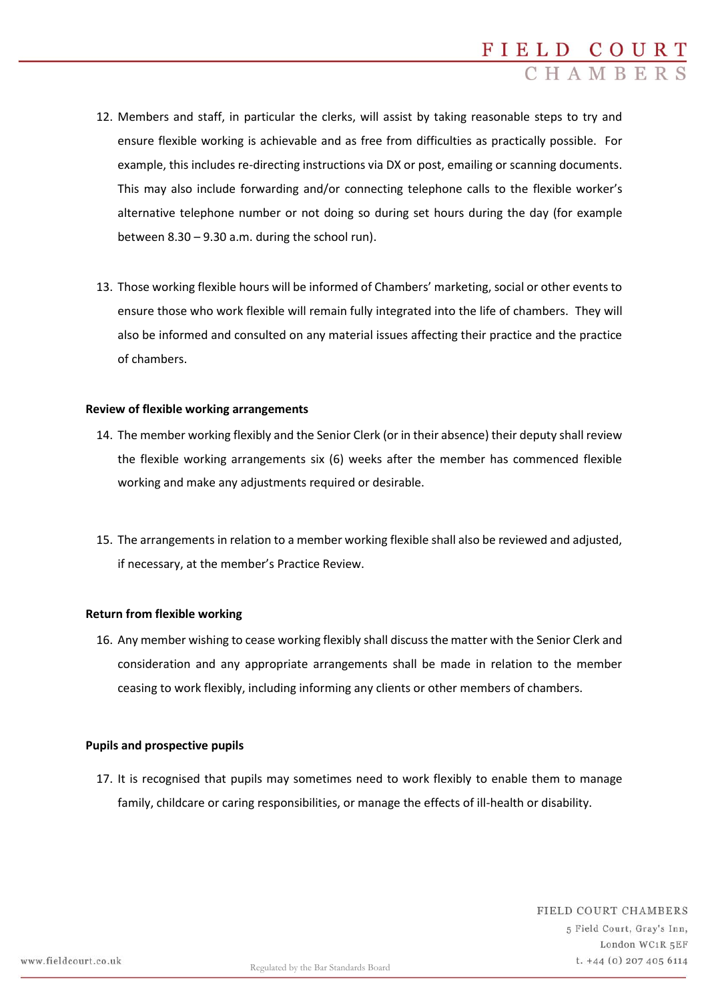- 12. Members and staff, in particular the clerks, will assist by taking reasonable steps to try and ensure flexible working is achievable and as free from difficulties as practically possible. For example, this includes re-directing instructions via DX or post, emailing or scanning documents. This may also include forwarding and/or connecting telephone calls to the flexible worker's alternative telephone number or not doing so during set hours during the day (for example between 8.30 – 9.30 a.m. during the school run).
- 13. Those working flexible hours will be informed of Chambers' marketing, social or other events to ensure those who work flexible will remain fully integrated into the life of chambers. They will also be informed and consulted on any material issues affecting their practice and the practice of chambers.

### **Review of flexible working arrangements**

- 14. The member working flexibly and the Senior Clerk (or in their absence) their deputy shall review the flexible working arrangements six (6) weeks after the member has commenced flexible working and make any adjustments required or desirable.
- 15. The arrangements in relation to a member working flexible shall also be reviewed and adjusted, if necessary, at the member's Practice Review.

# **Return from flexible working**

16. Any member wishing to cease working flexibly shall discuss the matter with the Senior Clerk and consideration and any appropriate arrangements shall be made in relation to the member ceasing to work flexibly, including informing any clients or other members of chambers.

#### **Pupils and prospective pupils**

17. It is recognised that pupils may sometimes need to work flexibly to enable them to manage family, childcare or caring responsibilities, or manage the effects of ill-health or disability.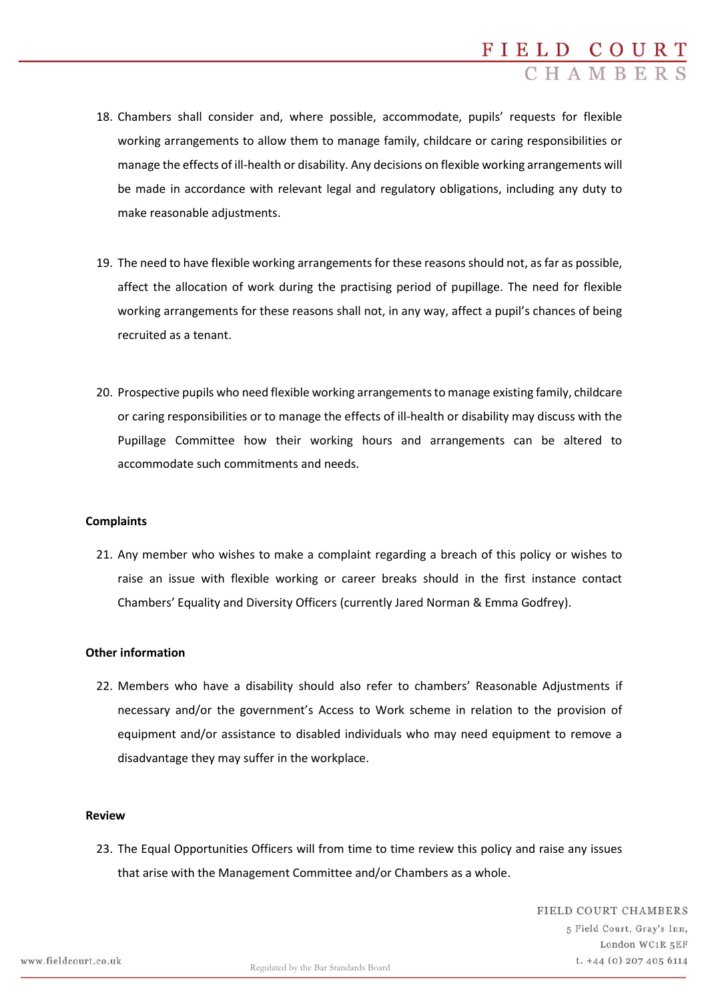- 18. Chambers shall consider and, where possible, accommodate, pupils' requests for flexible working arrangements to allow them to manage family, childcare or caring responsibilities or manage the effects of ill-health or disability. Any decisions on flexible working arrangements will be made in accordance with relevant legal and regulatory obligations, including any duty to make reasonable adjustments.
- 19. The need to have flexible working arrangements for these reasons should not, as far as possible, affect the allocation of work during the practising period of pupillage. The need for flexible working arrangements for these reasons shall not, in any way, affect a pupil's chances of being recruited as a tenant.
- 20. Prospective pupils who need flexible working arrangements to manage existing family, childcare or caring responsibilities or to manage the effects of ill-health or disability may discuss with the Pupillage Committee how their working hours and arrangements can be altered to accommodate such commitments and needs.

# **Complaints**

21. Any member who wishes to make a complaint regarding a breach of this policy or wishes to raise an issue with flexible working or career breaks should in the first instance contact Chambers' Equality and Diversity Officers (currently Jared Norman & Emma Godfrey).

# **Other information**

22. Members who have a disability should also refer to chambers' Reasonable Adjustments if necessary and/or the government's Access to Work scheme in relation to the provision of equipment and/or assistance to disabled individuals who may need equipment to remove a disadvantage they may suffer in the workplace.

#### **Review**

23. The Equal Opportunities Officers will from time to time review this policy and raise any issues that arise with the Management Committee and/or Chambers as a whole.